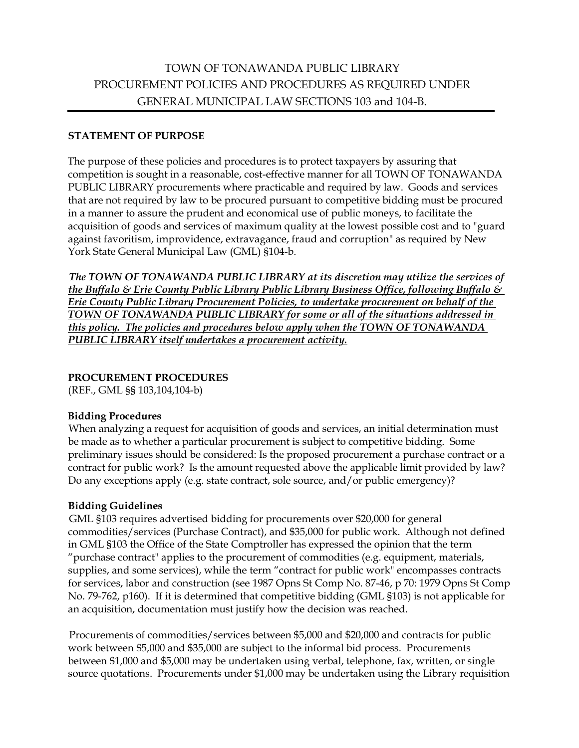# TOWN OF TONAWANDA PUBLIC LIBRARY PROCUREMENT POLICIES AND PROCEDURES AS REQUIRED UNDER GENERAL MUNICIPAL LAW SECTIONS 103 and 104-B.

#### **STATEMENT OF PURPOSE**

The purpose of these policies and procedures is to protect taxpayers by assuring that competition is sought in a reasonable, cost-effective manner for all TOWN OF TONAWANDA PUBLIC LIBRARY procurements where practicable and required by law. Goods and services that are not required by law to be procured pursuant to competitive bidding must be procured in a manner to assure the prudent and economical use of public moneys, to facilitate the acquisition of goods and services of maximum quality at the lowest possible cost and to "guard against favoritism, improvidence, extravagance, fraud and corruption" as required by New York State General Municipal Law (GML) §104-b.

*The TOWN OF TONAWANDA PUBLIC LIBRARY at its discretion may utilize the services of the Buffalo & Erie County Public Library Public Library Business Office, following Buffalo & Erie County Public Library Procurement Policies, to undertake procurement on behalf of the TOWN OF TONAWANDA PUBLIC LIBRARY for some or all of the situations addressed in this policy. The policies and procedures below apply when the TOWN OF TONAWANDA PUBLIC LIBRARY itself undertakes a procurement activity.*

#### **PROCUREMENT PROCEDURES**

(REF., GML §§ 103,104,104-b)

# **Bidding Procedures**

When analyzing a request for acquisition of goods and services, an initial determination must be made as to whether a particular procurement is subject to competitive bidding. Some preliminary issues should be considered: Is the proposed procurement a purchase contract or a contract for public work? Is the amount requested above the applicable limit provided by law? Do any exceptions apply (e.g. state contract, sole source, and/or public emergency)?

# **Bidding Guidelines**

GML §103 requires advertised bidding for procurements over \$20,000 for general commodities/services (Purchase Contract), and \$35,000 for public work. Although not defined in GML §103 the Office of the State Comptroller has expressed the opinion that the term "purchase contract" applies to the procurement of commodities (e.g. equipment, materials, supplies, and some services), while the term "contract for public work" encompasses contracts for services, labor and construction (see 1987 Opns St Comp No. 87-46, p 70: 1979 Opns St Comp No. 79-762, p160). If it is determined that competitive bidding (GML §103) is not applicable for an acquisition, documentation must justify how the decision was reached.

Procurements of commodities/services between \$5,000 and \$20,000 and contracts for public work between \$5,000 and \$35,000 are subject to the informal bid process. Procurements between \$1,000 and \$5,000 may be undertaken using verbal, telephone, fax, written, or single source quotations. Procurements under \$1,000 may be undertaken using the Library requisition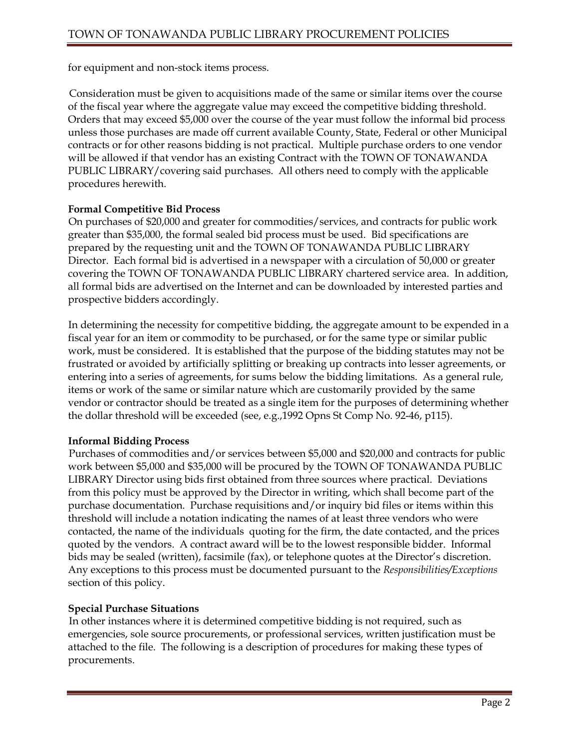for equipment and non-stock items process.

Consideration must be given to acquisitions made of the same or similar items over the course of the fiscal year where the aggregate value may exceed the competitive bidding threshold. Orders that may exceed \$5,000 over the course of the year must follow the informal bid process unless those purchases are made off current available County, State, Federal or other Municipal contracts or for other reasons bidding is not practical. Multiple purchase orders to one vendor will be allowed if that vendor has an existing Contract with the TOWN OF TONAWANDA PUBLIC LIBRARY/covering said purchases. All others need to comply with the applicable procedures herewith.

## **Formal Competitive Bid Process**

On purchases of \$20,000 and greater for commodities/services, and contracts for public work greater than \$35,000, the formal sealed bid process must be used. Bid specifications are prepared by the requesting unit and the TOWN OF TONAWANDA PUBLIC LIBRARY Director. Each formal bid is advertised in a newspaper with a circulation of 50,000 or greater covering the TOWN OF TONAWANDA PUBLIC LIBRARY chartered service area. In addition, all formal bids are advertised on the Internet and can be downloaded by interested parties and prospective bidders accordingly.

In determining the necessity for competitive bidding, the aggregate amount to be expended in a fiscal year for an item or commodity to be purchased, or for the same type or similar public work, must be considered. It is established that the purpose of the bidding statutes may not be frustrated or avoided by artificially splitting or breaking up contracts into lesser agreements, or entering into a series of agreements, for sums below the bidding limitations. As a general rule, items or work of the same or similar nature which are customarily provided by the same vendor or contractor should be treated as a single item for the purposes of determining whether the dollar threshold will be exceeded (see, e.g.,1992 Opns St Comp No. 92-46, p115).

# **Informal Bidding Process**

Purchases of commodities and/or services between \$5,000 and \$20,000 and contracts for public work between \$5,000 and \$35,000 will be procured by the TOWN OF TONAWANDA PUBLIC LIBRARY Director using bids first obtained from three sources where practical. Deviations from this policy must be approved by the Director in writing, which shall become part of the purchase documentation. Purchase requisitions and/or inquiry bid files or items within this threshold will include a notation indicating the names of at least three vendors who were contacted, the name of the individuals quoting for the firm, the date contacted, and the prices quoted by the vendors. A contract award will be to the lowest responsible bidder. Informal bids may be sealed (written), facsimile (fax), or telephone quotes at the Director's discretion. Any exceptions to this process must be documented pursuant to the *Responsibilities/Exceptions* section of this policy.

#### **Special Purchase Situations**

In other instances where it is determined competitive bidding is not required, such as emergencies, sole source procurements, or professional services, written justification must be attached to the file. The following is a description of procedures for making these types of procurements.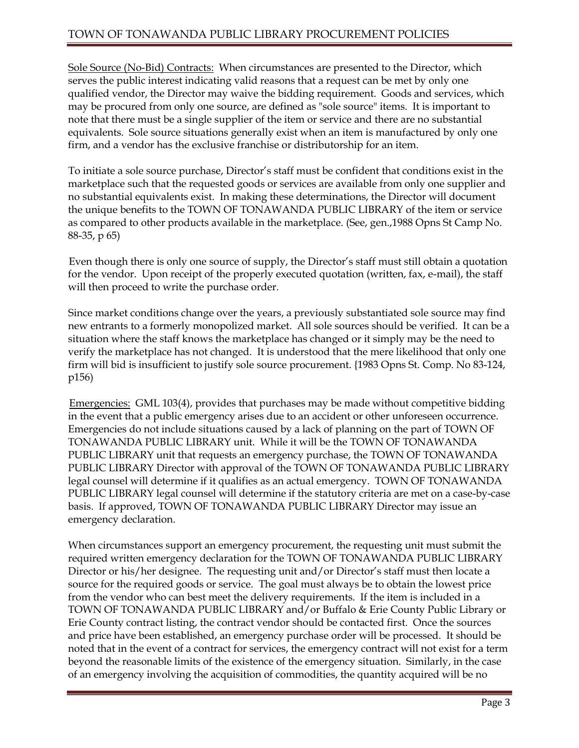Sole Source (No-Bid) Contracts: When circumstances are presented to the Director, which serves the public interest indicating valid reasons that a request can be met by only one qualified vendor, the Director may waive the bidding requirement. Goods and services, which may be procured from only one source, are defined as "sole source" items. It is important to note that there must be a single supplier of the item or service and there are no substantial equivalents. Sole source situations generally exist when an item is manufactured by only one firm, and a vendor has the exclusive franchise or distributorship for an item.

To initiate a sole source purchase, Director's staff must be confident that conditions exist in the marketplace such that the requested goods or services are available from only one supplier and no substantial equivalents exist. In making these determinations, the Director will document the unique benefits to the TOWN OF TONAWANDA PUBLIC LIBRARY of the item or service as compared to other products available in the marketplace. (See, gen.,1988 Opns St Camp No. 88-35, p 65)

Even though there is only one source of supply, the Director's staff must still obtain a quotation for the vendor. Upon receipt of the properly executed quotation (written, fax, e-mail), the staff will then proceed to write the purchase order.

Since market conditions change over the years, a previously substantiated sole source may find new entrants to a formerly monopolized market. All sole sources should be verified. It can be a situation where the staff knows the marketplace has changed or it simply may be the need to verify the marketplace has not changed. It is understood that the mere likelihood that only one firm will bid is insufficient to justify sole source procurement. {1983 Opns St. Comp. No 83-124, p156)

Emergencies: GML 103(4), provides that purchases may be made without competitive bidding in the event that a public emergency arises due to an accident or other unforeseen occurrence. Emergencies do not include situations caused by a lack of planning on the part of TOWN OF TONAWANDA PUBLIC LIBRARY unit. While it will be the TOWN OF TONAWANDA PUBLIC LIBRARY unit that requests an emergency purchase, the TOWN OF TONAWANDA PUBLIC LIBRARY Director with approval of the TOWN OF TONAWANDA PUBLIC LIBRARY legal counsel will determine if it qualifies as an actual emergency. TOWN OF TONAWANDA PUBLIC LIBRARY legal counsel will determine if the statutory criteria are met on a case-by-case basis. If approved, TOWN OF TONAWANDA PUBLIC LIBRARY Director may issue an emergency declaration.

When circumstances support an emergency procurement, the requesting unit must submit the required written emergency declaration for the TOWN OF TONAWANDA PUBLIC LIBRARY Director or his/her designee. The requesting unit and/or Director's staff must then locate a source for the required goods or service. The goal must always be to obtain the lowest price from the vendor who can best meet the delivery requirements. If the item is included in a TOWN OF TONAWANDA PUBLIC LIBRARY and/or Buffalo & Erie County Public Library or Erie County contract listing, the contract vendor should be contacted first. Once the sources and price have been established, an emergency purchase order will be processed. It should be noted that in the event of a contract for services, the emergency contract will not exist for a term beyond the reasonable limits of the existence of the emergency situation. Similarly, in the case of an emergency involving the acquisition of commodities, the quantity acquired will be no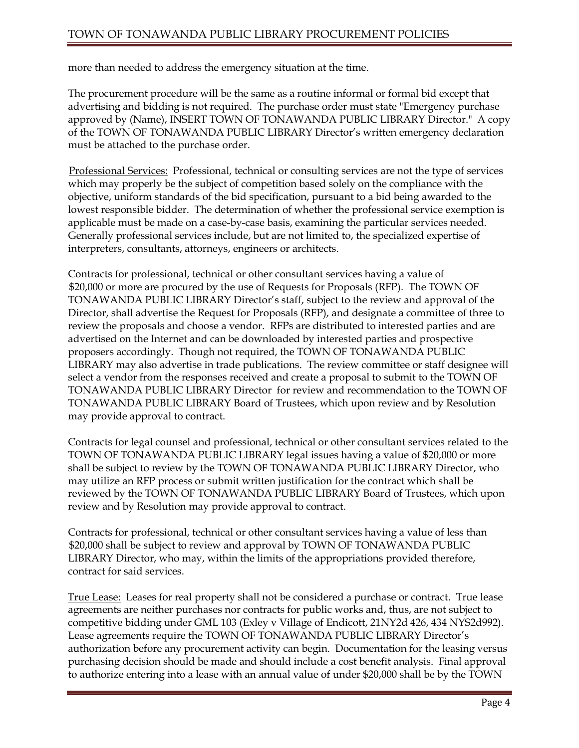more than needed to address the emergency situation at the time.

The procurement procedure will be the same as a routine informal or formal bid except that advertising and bidding is not required. The purchase order must state "Emergency purchase approved by (Name), INSERT TOWN OF TONAWANDA PUBLIC LIBRARY Director." A copy of the TOWN OF TONAWANDA PUBLIC LIBRARY Director's written emergency declaration must be attached to the purchase order.

Professional Services: Professional, technical or consulting services are not the type of services which may properly be the subject of competition based solely on the compliance with the objective, uniform standards of the bid specification, pursuant to a bid being awarded to the lowest responsible bidder. The determination of whether the professional service exemption is applicable must be made on a case-by-case basis, examining the particular services needed. Generally professional services include, but are not limited to, the specialized expertise of interpreters, consultants, attorneys, engineers or architects.

Contracts for professional, technical or other consultant services having a value of \$20,000 or more are procured by the use of Requests for Proposals (RFP). The TOWN OF TONAWANDA PUBLIC LIBRARY Director's staff, subject to the review and approval of the Director, shall advertise the Request for Proposals (RFP), and designate a committee of three to review the proposals and choose a vendor. RFPs are distributed to interested parties and are advertised on the Internet and can be downloaded by interested parties and prospective proposers accordingly. Though not required, the TOWN OF TONAWANDA PUBLIC LIBRARY may also advertise in trade publications. The review committee or staff designee will select a vendor from the responses received and create a proposal to submit to the TOWN OF TONAWANDA PUBLIC LIBRARY Director for review and recommendation to the TOWN OF TONAWANDA PUBLIC LIBRARY Board of Trustees, which upon review and by Resolution may provide approval to contract.

Contracts for legal counsel and professional, technical or other consultant services related to the TOWN OF TONAWANDA PUBLIC LIBRARY legal issues having a value of \$20,000 or more shall be subject to review by the TOWN OF TONAWANDA PUBLIC LIBRARY Director, who may utilize an RFP process or submit written justification for the contract which shall be reviewed by the TOWN OF TONAWANDA PUBLIC LIBRARY Board of Trustees, which upon review and by Resolution may provide approval to contract.

Contracts for professional, technical or other consultant services having a value of less than \$20,000 shall be subject to review and approval by TOWN OF TONAWANDA PUBLIC LIBRARY Director, who may, within the limits of the appropriations provided therefore, contract for said services.

True Lease: Leases for real property shall not be considered a purchase or contract. True lease agreements are neither purchases nor contracts for public works and, thus, are not subject to competitive bidding under GML 103 (Exley v Village of Endicott, 21NY2d 426, 434 NYS2d992). Lease agreements require the TOWN OF TONAWANDA PUBLIC LIBRARY Director's authorization before any procurement activity can begin. Documentation for the leasing versus purchasing decision should be made and should include a cost benefit analysis. Final approval to authorize entering into a lease with an annual value of under \$20,000 shall be by the TOWN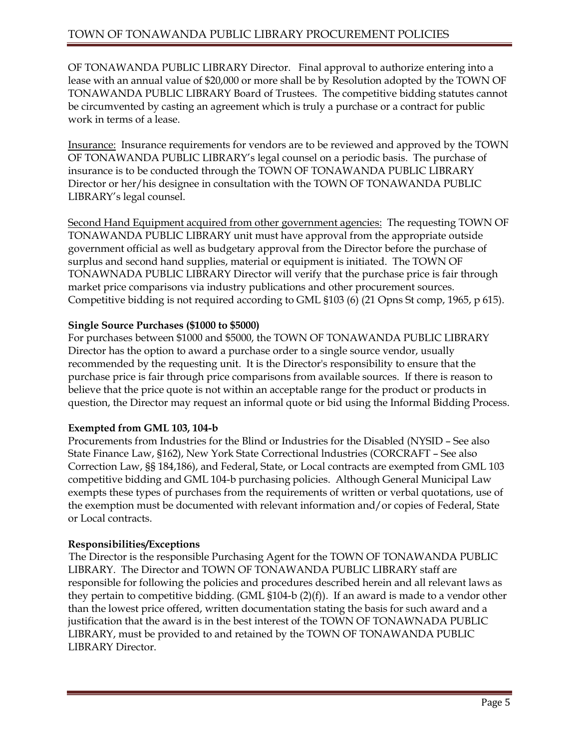OF TONAWANDA PUBLIC LIBRARY Director. Final approval to authorize entering into a lease with an annual value of \$20,000 or more shall be by Resolution adopted by the TOWN OF TONAWANDA PUBLIC LIBRARY Board of Trustees. The competitive bidding statutes cannot be circumvented by casting an agreement which is truly a purchase or a contract for public work in terms of a lease.

Insurance: Insurance requirements for vendors are to be reviewed and approved by the TOWN OF TONAWANDA PUBLIC LIBRARY's legal counsel on a periodic basis. The purchase of insurance is to be conducted through the TOWN OF TONAWANDA PUBLIC LIBRARY Director or her/his designee in consultation with the TOWN OF TONAWANDA PUBLIC LIBRARY's legal counsel.

Second Hand Equipment acquired from other government agencies: The requesting TOWN OF TONAWANDA PUBLIC LIBRARY unit must have approval from the appropriate outside government official as well as budgetary approval from the Director before the purchase of surplus and second hand supplies, material or equipment is initiated. The TOWN OF TONAWNADA PUBLIC LIBRARY Director will verify that the purchase price is fair through market price comparisons via industry publications and other procurement sources. Competitive bidding is not required according to GML §103 (6) (21 Opns St comp, 1965, p 615).

## **Single Source Purchases (\$1000 to \$5000)**

For purchases between \$1000 and \$5000, the TOWN OF TONAWANDA PUBLIC LIBRARY Director has the option to award a purchase order to a single source vendor, usually recommended by the requesting unit. It is the Director's responsibility to ensure that the purchase price is fair through price comparisons from available sources. If there is reason to believe that the price quote is not within an acceptable range for the product or products in question, the Director may request an informal quote or bid using the Informal Bidding Process.

#### **Exempted from GML 103, 104-b**

Procurements from Industries for the Blind or Industries for the Disabled (NYSID – See also State Finance Law, §162), New York State Correctional lndustries (CORCRAFT – See also Correction Law, §§ 184,186), and Federal, State, or Local contracts are exempted from GML 103 competitive bidding and GML 104-b purchasing policies. Although General Municipal Law exempts these types of purchases from the requirements of written or verbal quotations, use of the exemption must be documented with relevant information and/or copies of Federal, State or Local contracts.

#### **Responsibilities/Exceptions**

The Director is the responsible Purchasing Agent for the TOWN OF TONAWANDA PUBLIC LIBRARY. The Director and TOWN OF TONAWANDA PUBLIC LIBRARY staff are responsible for following the policies and procedures described herein and all relevant laws as they pertain to competitive bidding. (GML  $$104-b (2)(f)$ ). If an award is made to a vendor other than the lowest price offered, written documentation stating the basis for such award and a justification that the award is in the best interest of the TOWN OF TONAWNADA PUBLIC LIBRARY, must be provided to and retained by the TOWN OF TONAWANDA PUBLIC LIBRARY Director.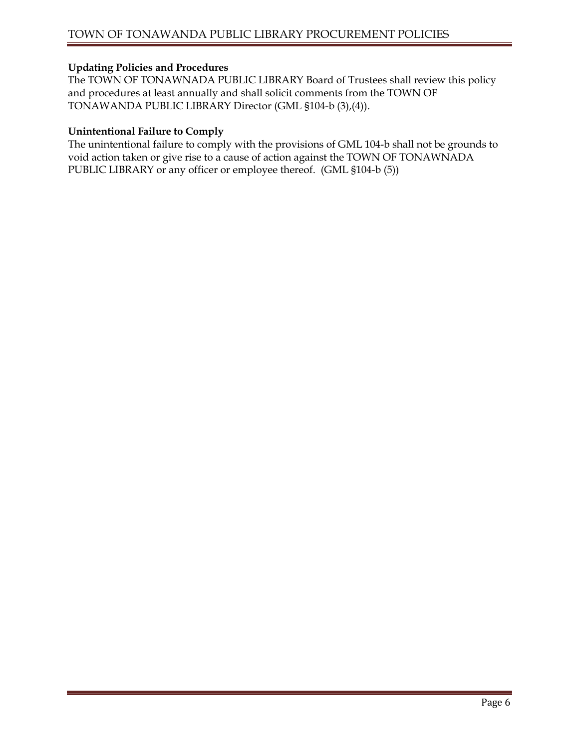## **Updating Policies and Procedures**

The TOWN OF TONAWNADA PUBLIC LIBRARY Board of Trustees shall review this policy and procedures at least annually and shall solicit comments from the TOWN OF TONAWANDA PUBLIC LIBRARY Director (GML §104-b (3),(4)).

#### **Unintentional Failure to Comply**

The unintentional failure to comply with the provisions of GML 104-b shall not be grounds to void action taken or give rise to a cause of action against the TOWN OF TONAWNADA PUBLIC LIBRARY or any officer or employee thereof. (GML §104-b (5))